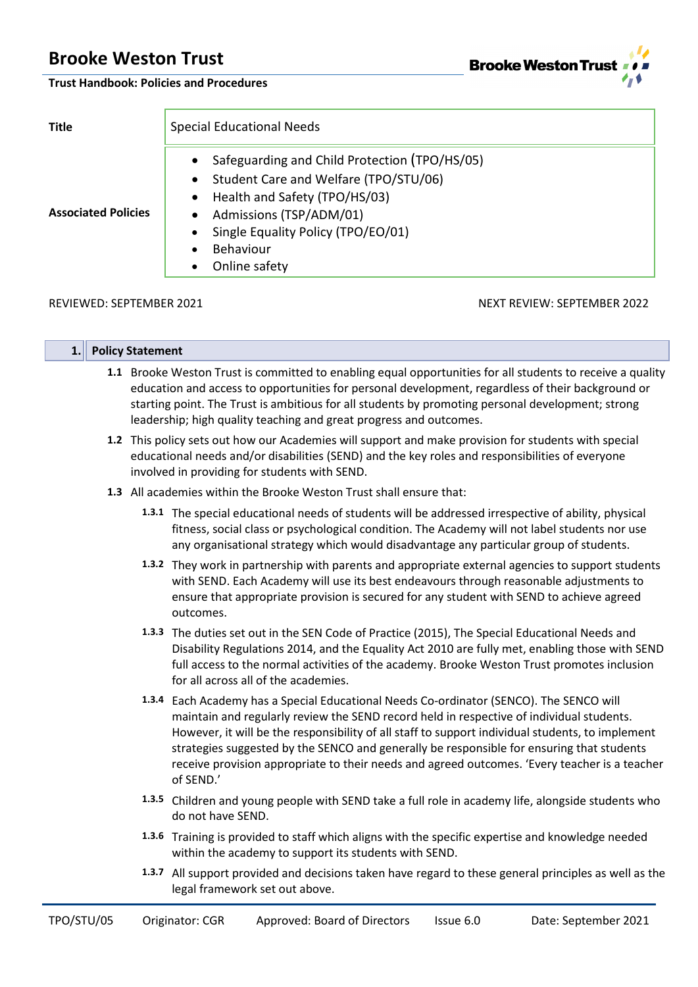**Brooke Weston Trust**  $4<sub>r</sub>$ 

# **Trust Handbook: Policies and Procedures**

| <b>Title</b>               | <b>Special Educational Needs</b>                                                                                                                                                                                                        |  |  |  |
|----------------------------|-----------------------------------------------------------------------------------------------------------------------------------------------------------------------------------------------------------------------------------------|--|--|--|
| <b>Associated Policies</b> | Safeguarding and Child Protection (TPO/HS/05)<br>• Student Care and Welfare (TPO/STU/06)<br>• Health and Safety (TPO/HS/03)<br>Admissions (TSP/ADM/01)<br>$\bullet$<br>Single Equality Policy (TPO/EO/01)<br>Behaviour<br>Online safety |  |  |  |

# REVIEWED: SEPTEMBER 2021 NEXT REVIEW: SEPTEMBER 2022

| 1. | <b>Policy Statement</b>                                                                                                                                                                                                                                  |                                                                                                                                                                                                                                                                                                                                                                                                                                                                                                    |
|----|----------------------------------------------------------------------------------------------------------------------------------------------------------------------------------------------------------------------------------------------------------|----------------------------------------------------------------------------------------------------------------------------------------------------------------------------------------------------------------------------------------------------------------------------------------------------------------------------------------------------------------------------------------------------------------------------------------------------------------------------------------------------|
|    |                                                                                                                                                                                                                                                          | 1.1 Brooke Weston Trust is committed to enabling equal opportunities for all students to receive a quality<br>education and access to opportunities for personal development, regardless of their background or<br>starting point. The Trust is ambitious for all students by promoting personal development; strong<br>leadership; high quality teaching and great progress and outcomes.                                                                                                         |
|    | 1.2 This policy sets out how our Academies will support and make provision for students with special<br>educational needs and/or disabilities (SEND) and the key roles and responsibilities of everyone<br>involved in providing for students with SEND. |                                                                                                                                                                                                                                                                                                                                                                                                                                                                                                    |
|    |                                                                                                                                                                                                                                                          | 1.3 All academies within the Brooke Weston Trust shall ensure that:                                                                                                                                                                                                                                                                                                                                                                                                                                |
|    |                                                                                                                                                                                                                                                          | 1.3.1 The special educational needs of students will be addressed irrespective of ability, physical<br>fitness, social class or psychological condition. The Academy will not label students nor use<br>any organisational strategy which would disadvantage any particular group of students.                                                                                                                                                                                                     |
|    |                                                                                                                                                                                                                                                          | 1.3.2 They work in partnership with parents and appropriate external agencies to support students<br>with SEND. Each Academy will use its best endeavours through reasonable adjustments to<br>ensure that appropriate provision is secured for any student with SEND to achieve agreed<br>outcomes.                                                                                                                                                                                               |
|    |                                                                                                                                                                                                                                                          | 1.3.3 The duties set out in the SEN Code of Practice (2015), The Special Educational Needs and<br>Disability Regulations 2014, and the Equality Act 2010 are fully met, enabling those with SEND<br>full access to the normal activities of the academy. Brooke Weston Trust promotes inclusion<br>for all across all of the academies.                                                                                                                                                            |
|    |                                                                                                                                                                                                                                                          | 1.3.4 Each Academy has a Special Educational Needs Co-ordinator (SENCO). The SENCO will<br>maintain and regularly review the SEND record held in respective of individual students.<br>However, it will be the responsibility of all staff to support individual students, to implement<br>strategies suggested by the SENCO and generally be responsible for ensuring that students<br>receive provision appropriate to their needs and agreed outcomes. 'Every teacher is a teacher<br>of SEND.' |
|    |                                                                                                                                                                                                                                                          | 1.3.5 Children and young people with SEND take a full role in academy life, alongside students who<br>do not have SEND.                                                                                                                                                                                                                                                                                                                                                                            |
|    |                                                                                                                                                                                                                                                          | 1.3.6 Training is provided to staff which aligns with the specific expertise and knowledge needed<br>within the academy to support its students with SEND.                                                                                                                                                                                                                                                                                                                                         |
|    |                                                                                                                                                                                                                                                          | 1.3.7 All support provided and decisions taken have regard to these general principles as well as the<br>legal framework set out above.                                                                                                                                                                                                                                                                                                                                                            |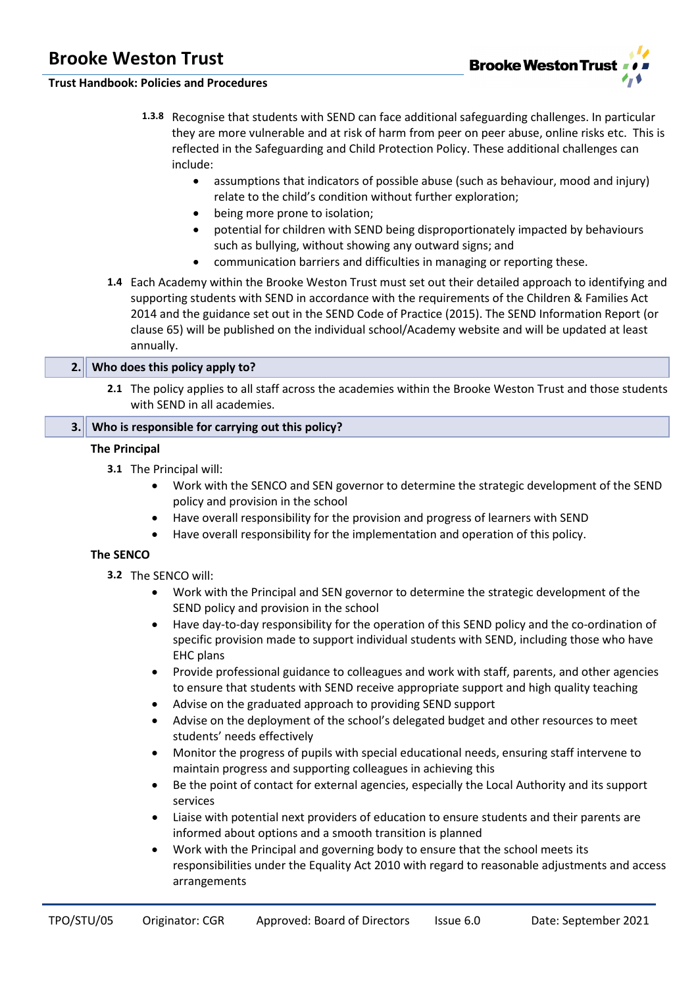

# **Trust Handbook: Policies and Procedures**

- **1.3.8** Recognise that students with SEND can face additional safeguarding challenges. In particular they are more vulnerable and at risk of harm from peer on peer abuse, online risks etc. This is reflected in the Safeguarding and Child Protection Policy. These additional challenges can include:
	- assumptions that indicators of possible abuse (such as behaviour, mood and injury) relate to the child's condition without further exploration;
	- being more prone to isolation:
	- potential for children with SEND being disproportionately impacted by behaviours such as bullying, without showing any outward signs; and
	- communication barriers and difficulties in managing or reporting these.
- **1.4** Each Academy within the Brooke Weston Trust must set out their detailed approach to identifying and supporting students with SEND in accordance with the requirements of the Children & Families Act 2014 and the guidance set out in the SEND Code of Practice (2015). The SEND Information Report (or clause 65) will be published on the individual school/Academy website and will be updated at least annually.

## **2. Who does this policy apply to?**

**2.1** The policy applies to all staff across the academies within the Brooke Weston Trust and those students with SEND in all academies.

# **3. Who is responsible for carrying out this policy?**

## **The Principal**

- **3.1** The Principal will:
	- Work with the SENCO and SEN governor to determine the strategic development of the SEND policy and provision in the school
	- Have overall responsibility for the provision and progress of learners with SEND
	- Have overall responsibility for the implementation and operation of this policy.

#### **The SENCO**

- **3.2** The SENCO will:
	- Work with the Principal and SEN governor to determine the strategic development of the SEND policy and provision in the school
	- Have day-to-day responsibility for the operation of this SEND policy and the co-ordination of specific provision made to support individual students with SEND, including those who have EHC plans
	- Provide professional guidance to colleagues and work with staff, parents, and other agencies to ensure that students with SEND receive appropriate support and high quality teaching
	- Advise on the graduated approach to providing SEND support
	- Advise on the deployment of the school's delegated budget and other resources to meet students' needs effectively
	- Monitor the progress of pupils with special educational needs, ensuring staff intervene to maintain progress and supporting colleagues in achieving this
	- Be the point of contact for external agencies, especially the Local Authority and its support services
	- Liaise with potential next providers of education to ensure students and their parents are informed about options and a smooth transition is planned
	- Work with the Principal and governing body to ensure that the school meets its responsibilities under the Equality Act 2010 with regard to reasonable adjustments and access arrangements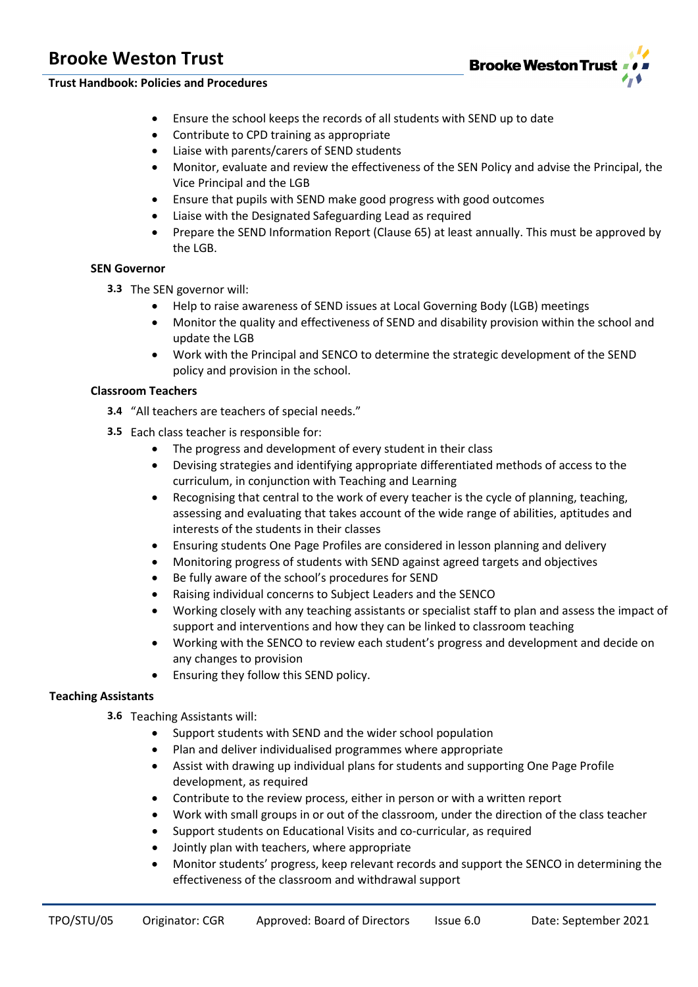**Brooke Weston Trust** 

**Trust Handbook: Policies and Procedures**

- Ensure the school keeps the records of all students with SEND up to date
- Contribute to CPD training as appropriate
- Liaise with parents/carers of SEND students
- Monitor, evaluate and review the effectiveness of the SEN Policy and advise the Principal, the Vice Principal and the LGB
- Ensure that pupils with SEND make good progress with good outcomes
- Liaise with the Designated Safeguarding Lead as required
- Prepare the SEND Information Report (Clause 65) at least annually. This must be approved by the LGB.

## **SEN Governor**

- **3.3** The SEN governor will:
	- Help to raise awareness of SEND issues at Local Governing Body (LGB) meetings
	- Monitor the quality and effectiveness of SEND and disability provision within the school and update the LGB
	- Work with the Principal and SENCO to determine the strategic development of the SEND policy and provision in the school.

# **Classroom Teachers**

- **3.4** "All teachers are teachers of special needs."
- **3.5** Each class teacher is responsible for:
	- The progress and development of every student in their class
	- Devising strategies and identifying appropriate differentiated methods of access to the curriculum, in conjunction with Teaching and Learning
	- Recognising that central to the work of every teacher is the cycle of planning, teaching, assessing and evaluating that takes account of the wide range of abilities, aptitudes and interests of the students in their classes
	- Ensuring students One Page Profiles are considered in lesson planning and delivery
	- Monitoring progress of students with SEND against agreed targets and objectives
	- Be fully aware of the school's procedures for SEND
	- Raising individual concerns to Subject Leaders and the SENCO
	- Working closely with any teaching assistants or specialist staff to plan and assess the impact of support and interventions and how they can be linked to classroom teaching
	- Working with the SENCO to review each student's progress and development and decide on any changes to provision
	- Ensuring they follow this SEND policy.

# **Teaching Assistants**

- **3.6** Teaching Assistants will:
	- Support students with SEND and the wider school population
	- Plan and deliver individualised programmes where appropriate
	- Assist with drawing up individual plans for students and supporting One Page Profile development, as required
	- Contribute to the review process, either in person or with a written report
	- Work with small groups in or out of the classroom, under the direction of the class teacher
	- Support students on Educational Visits and co-curricular, as required
	- Jointly plan with teachers, where appropriate
	- Monitor students' progress, keep relevant records and support the SENCO in determining the effectiveness of the classroom and withdrawal support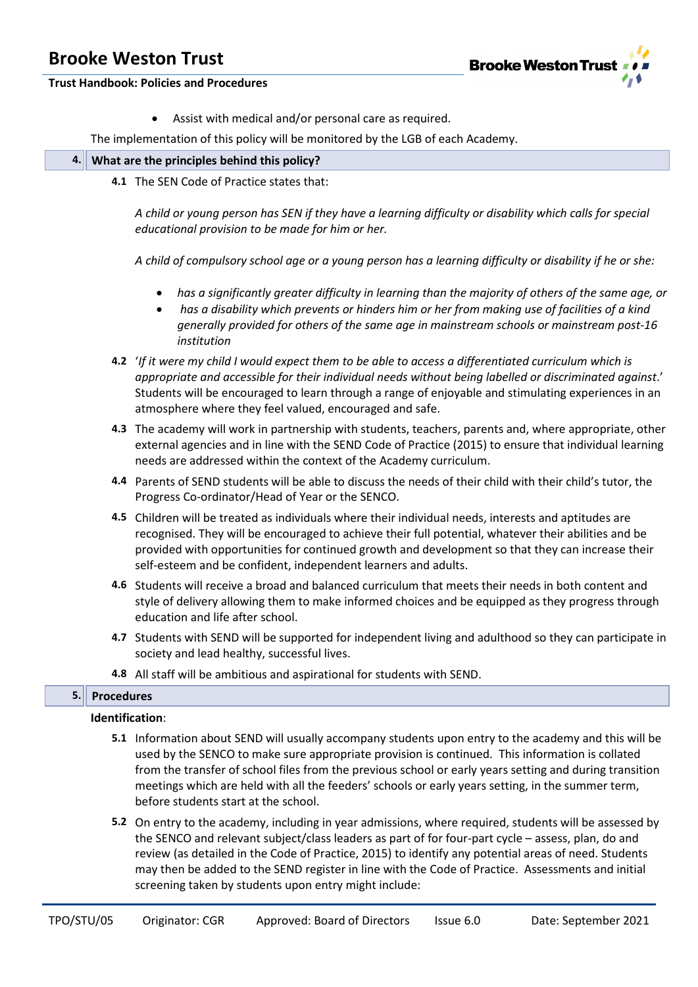

**Trust Handbook: Policies and Procedures**

Assist with medical and/or personal care as required.

The implementation of this policy will be monitored by the LGB of each Academy.

|  | $\left\  4. \right\ $ What are the principles behind this policy? |
|--|-------------------------------------------------------------------|
|  |                                                                   |

**4.1** The SEN Code of Practice states that:

*A child or young person has SEN if they have a learning difficulty or disability which calls for special educational provision to be made for him or her.*

*A child of compulsory school age or a young person has a learning difficulty or disability if he or she:* 

- *has a significantly greater difficulty in learning than the majority of others of the same age, or*
- *has a disability which prevents or hinders him or her from making use of facilities of a kind generally provided for others of the same age in mainstream schools or mainstream post-16 institution*
- **4.2** '*If it were my child I would expect them to be able to access a differentiated curriculum which is appropriate and accessible for their individual needs without being labelled or discriminated against*.' Students will be encouraged to learn through a range of enjoyable and stimulating experiences in an atmosphere where they feel valued, encouraged and safe.
- **4.3** The academy will work in partnership with students, teachers, parents and, where appropriate, other external agencies and in line with the SEND Code of Practice (2015) to ensure that individual learning needs are addressed within the context of the Academy curriculum.
- **4.4** Parents of SEND students will be able to discuss the needs of their child with their child's tutor, the Progress Co-ordinator/Head of Year or the SENCO.
- **4.5** Children will be treated as individuals where their individual needs, interests and aptitudes are recognised. They will be encouraged to achieve their full potential, whatever their abilities and be provided with opportunities for continued growth and development so that they can increase their self-esteem and be confident, independent learners and adults.
- **4.6** Students will receive a broad and balanced curriculum that meets their needs in both content and style of delivery allowing them to make informed choices and be equipped as they progress through education and life after school.
- **4.7** Students with SEND will be supported for independent living and adulthood so they can participate in society and lead healthy, successful lives.
- **4.8** All staff will be ambitious and aspirational for students with SEND.

# **5. Procedures**

#### **Identification**:

- **5.1** Information about SEND will usually accompany students upon entry to the academy and this will be used by the SENCO to make sure appropriate provision is continued. This information is collated from the transfer of school files from the previous school or early years setting and during transition meetings which are held with all the feeders' schools or early years setting, in the summer term, before students start at the school.
- **5.2** On entry to the academy, including in year admissions, where required, students will be assessed by the SENCO and relevant subject/class leaders as part of for four-part cycle – assess, plan, do and review (as detailed in the Code of Practice, 2015) to identify any potential areas of need. Students may then be added to the SEND register in line with the Code of Practice. Assessments and initial screening taken by students upon entry might include: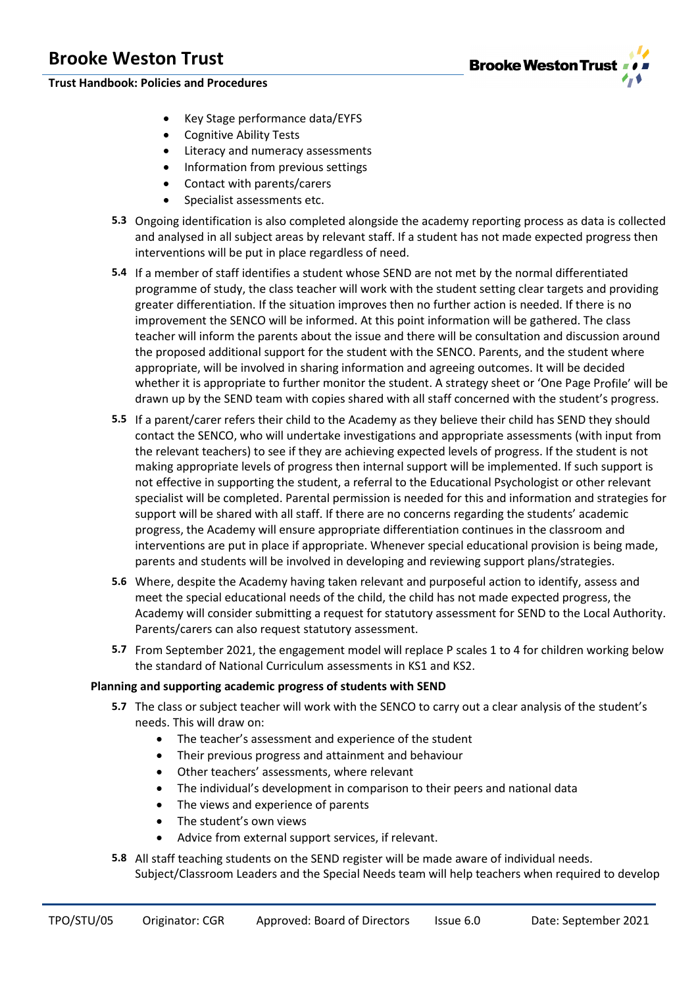**Trust Handbook: Policies and Procedures**

- Key Stage performance data/EYFS
- Cognitive Ability Tests
- Literacy and numeracy assessments
- Information from previous settings
- Contact with parents/carers
- Specialist assessments etc.
- **5.3** Ongoing identification is also completed alongside the academy reporting process as data is collected and analysed in all subject areas by relevant staff. If a student has not made expected progress then interventions will be put in place regardless of need.
- **5.4** If a member of staff identifies a student whose SEND are not met by the normal differentiated programme of study, the class teacher will work with the student setting clear targets and providing greater differentiation. If the situation improves then no further action is needed. If there is no improvement the SENCO will be informed. At this point information will be gathered. The class teacher will inform the parents about the issue and there will be consultation and discussion around the proposed additional support for the student with the SENCO. Parents, and the student where appropriate, will be involved in sharing information and agreeing outcomes. It will be decided whether it is appropriate to further monitor the student. A strategy sheet or 'One Page Profile' will be drawn up by the SEND team with copies shared with all staff concerned with the student's progress.
- **5.5** If a parent/carer refers their child to the Academy as they believe their child has SEND they should contact the SENCO, who will undertake investigations and appropriate assessments (with input from the relevant teachers) to see if they are achieving expected levels of progress. If the student is not making appropriate levels of progress then internal support will be implemented. If such support is not effective in supporting the student, a referral to the Educational Psychologist or other relevant specialist will be completed. Parental permission is needed for this and information and strategies for support will be shared with all staff. If there are no concerns regarding the students' academic progress, the Academy will ensure appropriate differentiation continues in the classroom and interventions are put in place if appropriate. Whenever special educational provision is being made, parents and students will be involved in developing and reviewing support plans/strategies.
- **5.6** Where, despite the Academy having taken relevant and purposeful action to identify, assess and meet the special educational needs of the child, the child has not made expected progress, the Academy will consider submitting a request for statutory assessment for SEND to the Local Authority. Parents/carers can also request statutory assessment.
- **5.7** From September 2021, the engagement model will replace P scales 1 to 4 for children working below the standard of National Curriculum assessments in KS1 and KS2.

# **Planning and supporting academic progress of students with SEND**

- **5.7** The class or subject teacher will work with the SENCO to carry out a clear analysis of the student's needs. This will draw on:
	- The teacher's assessment and experience of the student
	- Their previous progress and attainment and behaviour
	- Other teachers' assessments, where relevant
	- The individual's development in comparison to their peers and national data
	- The views and experience of parents
	- The student's own views
	- Advice from external support services, if relevant.
- **5.8** All staff teaching students on the SEND register will be made aware of individual needs. Subject/Classroom Leaders and the Special Needs team will help teachers when required to develop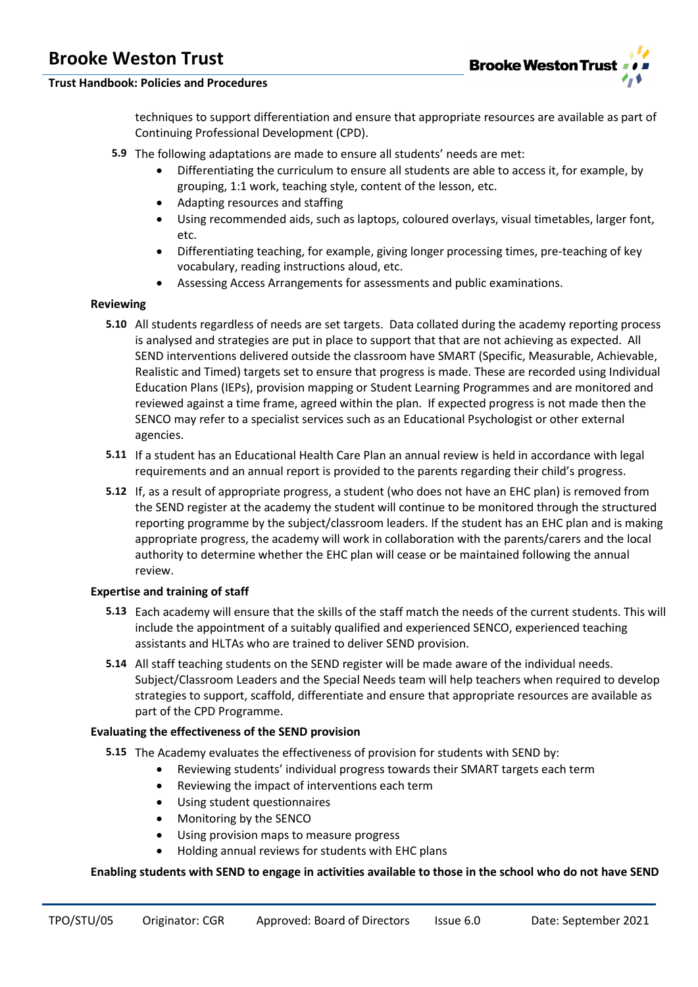

# **Trust Handbook: Policies and Procedures**

techniques to support differentiation and ensure that appropriate resources are available as part of Continuing Professional Development (CPD).

- **5.9** The following adaptations are made to ensure all students' needs are met:
	- Differentiating the curriculum to ensure all students are able to access it, for example, by grouping, 1:1 work, teaching style, content of the lesson, etc.
	- Adapting resources and staffing
	- Using recommended aids, such as laptops, coloured overlays, visual timetables, larger font, etc.
	- Differentiating teaching, for example, giving longer processing times, pre-teaching of key vocabulary, reading instructions aloud, etc.
	- Assessing Access Arrangements for assessments and public examinations.

# **Reviewing**

- **5.10** All students regardless of needs are set targets. Data collated during the academy reporting process is analysed and strategies are put in place to support that that are not achieving as expected. All SEND interventions delivered outside the classroom have SMART (Specific, Measurable, Achievable, Realistic and Timed) targets set to ensure that progress is made. These are recorded using Individual Education Plans (IEPs), provision mapping or Student Learning Programmes and are monitored and reviewed against a time frame, agreed within the plan. If expected progress is not made then the SENCO may refer to a specialist services such as an Educational Psychologist or other external agencies.
- **5.11** If a student has an Educational Health Care Plan an annual review is held in accordance with legal requirements and an annual report is provided to the parents regarding their child's progress.
- **5.12** If, as a result of appropriate progress, a student (who does not have an EHC plan) is removed from the SEND register at the academy the student will continue to be monitored through the structured reporting programme by the subject/classroom leaders. If the student has an EHC plan and is making appropriate progress, the academy will work in collaboration with the parents/carers and the local authority to determine whether the EHC plan will cease or be maintained following the annual review.

# **Expertise and training of staff**

- **5.13** Each academy will ensure that the skills of the staff match the needs of the current students. This will include the appointment of a suitably qualified and experienced SENCO, experienced teaching assistants and HLTAs who are trained to deliver SEND provision.
- **5.14** All staff teaching students on the SEND register will be made aware of the individual needs. Subject/Classroom Leaders and the Special Needs team will help teachers when required to develop strategies to support, scaffold, differentiate and ensure that appropriate resources are available as part of the CPD Programme.

# **Evaluating the effectiveness of the SEND provision**

- **5.15** The Academy evaluates the effectiveness of provision for students with SEND by:
	- Reviewing students' individual progress towards their SMART targets each term
	- Reviewing the impact of interventions each term
	- Using student questionnaires
	- Monitoring by the SENCO
	- Using provision maps to measure progress
	- Holding annual reviews for students with EHC plans

# **Enabling students with SEND to engage in activities available to those in the school who do not have SEND**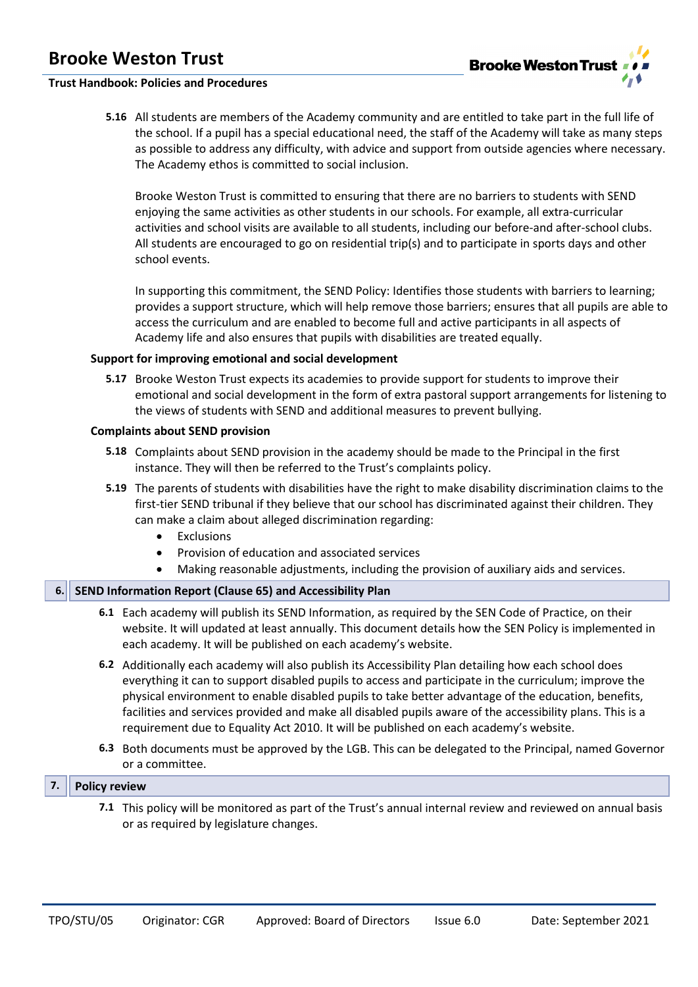

# **Trust Handbook: Policies and Procedures**

**5.16** All students are members of the Academy community and are entitled to take part in the full life of the school. If a pupil has a special educational need, the staff of the Academy will take as many steps as possible to address any difficulty, with advice and support from outside agencies where necessary. The Academy ethos is committed to social inclusion.

Brooke Weston Trust is committed to ensuring that there are no barriers to students with SEND enjoying the same activities as other students in our schools. For example, all extra-curricular activities and school visits are available to all students, including our before-and after-school clubs. All students are encouraged to go on residential trip(s) and to participate in sports days and other school events.

In supporting this commitment, the SEND Policy: Identifies those students with barriers to learning; provides a support structure, which will help remove those barriers; ensures that all pupils are able to access the curriculum and are enabled to become full and active participants in all aspects of Academy life and also ensures that pupils with disabilities are treated equally.

## **Support for improving emotional and social development**

**5.17** Brooke Weston Trust expects its academies to provide support for students to improve their emotional and social development in the form of extra pastoral support arrangements for listening to the views of students with SEND and additional measures to prevent bullying.

#### **Complaints about SEND provision**

- **5.18** Complaints about SEND provision in the academy should be made to the Principal in the first instance. They will then be referred to the Trust's complaints policy.
- **5.19** The parents of students with disabilities have the right to make disability discrimination claims to the first-tier SEND tribunal if they believe that our school has discriminated against their children. They can make a claim about alleged discrimination regarding:
	- Exclusions
	- Provision of education and associated services
	- Making reasonable adjustments, including the provision of auxiliary aids and services.

# **6. SEND Information Report (Clause 65) and Accessibility Plan**

- **6.1** Each academy will publish its SEND Information, as required by the SEN Code of Practice, on their website. It will updated at least annually. This document details how the SEN Policy is implemented in each academy. It will be published on each academy's website.
- **6.2** Additionally each academy will also publish its Accessibility Plan detailing how each school does everything it can to support disabled pupils to access and participate in the curriculum; improve the physical environment to enable disabled pupils to take better advantage of the education, benefits, facilities and services provided and make all disabled pupils aware of the accessibility plans. This is a requirement due to Equality Act 2010. It will be published on each academy's website.
- **6.3** Both documents must be approved by the LGB. This can be delegated to the Principal, named Governor or a committee.

#### **7. Policy review**

**7.1** This policy will be monitored as part of the Trust's annual internal review and reviewed on annual basis or as required by legislature changes.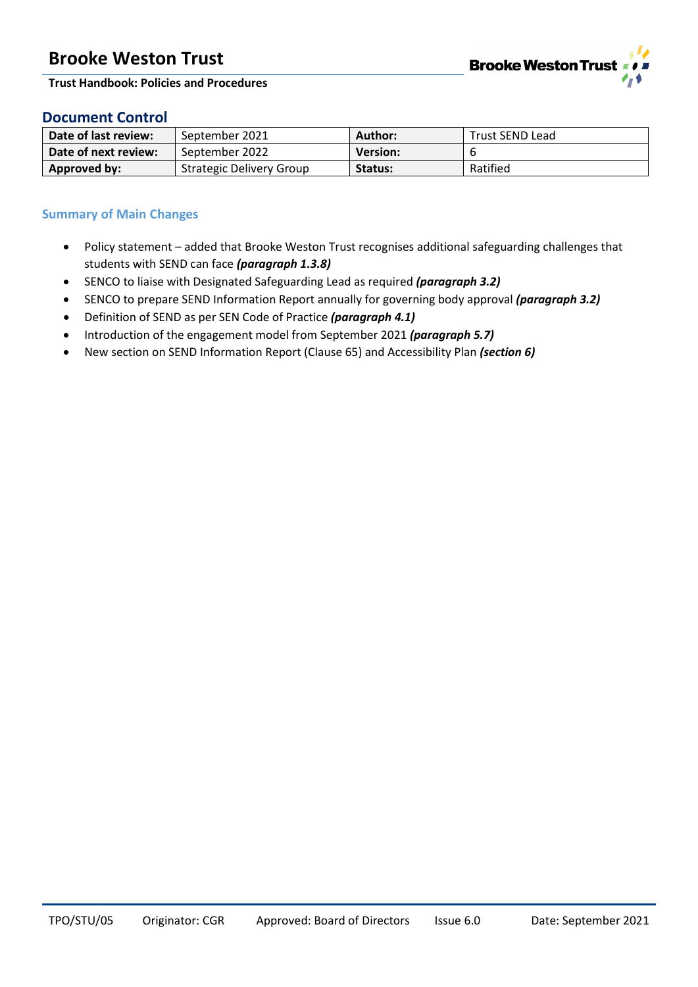

**Trust Handbook: Policies and Procedures**

# **Document Control**

| Date of last review: | September 2021                  | Author:         | Trust SEND Lead |
|----------------------|---------------------------------|-----------------|-----------------|
| Date of next review: | September 2022                  | <b>Version:</b> |                 |
| Approved by:         | <b>Strategic Delivery Group</b> | Status:         | Ratified        |

# **Summary of Main Changes**

- Policy statement added that Brooke Weston Trust recognises additional safeguarding challenges that students with SEND can face *(paragraph 1.3.8)*
- SENCO to liaise with Designated Safeguarding Lead as required *(paragraph 3.2)*
- SENCO to prepare SEND Information Report annually for governing body approval *(paragraph 3.2)*
- Definition of SEND as per SEN Code of Practice *(paragraph 4.1)*
- Introduction of the engagement model from September 2021 *(paragraph 5.7)*
- New section on SEND Information Report (Clause 65) and Accessibility Plan *(section 6)*